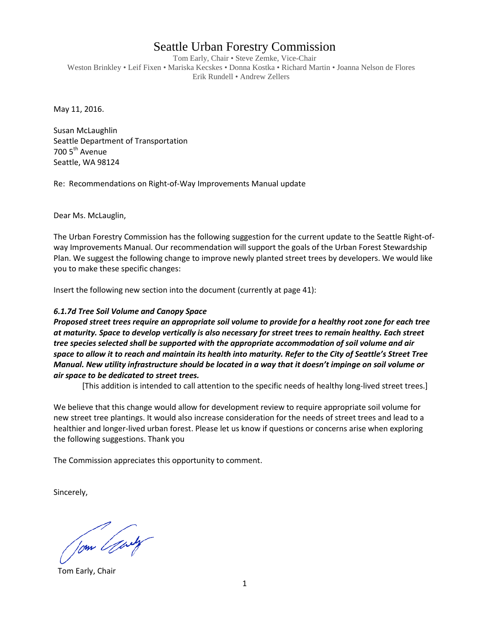## Seattle Urban Forestry Commission

Tom Early, Chair • Steve Zemke, Vice-Chair Weston Brinkley • Leif Fixen • Mariska Kecskes • Donna Kostka • Richard Martin • Joanna Nelson de Flores Erik Rundell • Andrew Zellers

May 11, 2016.

Susan McLaughlin Seattle Department of Transportation 700 5<sup>th</sup> Avenue Seattle, WA 98124

Re: Recommendations on Right-of-Way Improvements Manual update

Dear Ms. McLauglin,

The Urban Forestry Commission has the following suggestion for the current update to the Seattle Right-ofway Improvements Manual. Our recommendation will support the goals of the Urban Forest Stewardship Plan. We suggest the following change to improve newly planted street trees by developers. We would like you to make these specific changes:

Insert the following new section into the document (currently at page 41):

## *6.1.7d Tree Soil Volume and Canopy Space*

*Proposed street trees require an appropriate soil volume to provide for a healthy root zone for each tree at maturity. Space to develop vertically is also necessary for street trees to remain healthy. Each street tree species selected shall be supported with the appropriate accommodation of soil volume and air space to allow it to reach and maintain its health into maturity. Refer to the City of Seattle's Street Tree Manual. New utility infrastructure should be located in a way that it doesn't impinge on soil volume or air space to be dedicated to street trees.* 

[This addition is intended to call attention to the specific needs of healthy long-lived street trees.]

We believe that this change would allow for development review to require appropriate soil volume for new street tree plantings. It would also increase consideration for the needs of street trees and lead to a healthier and longer-lived urban forest. Please let us know if questions or concerns arise when exploring the following suggestions. Thank you

The Commission appreciates this opportunity to comment.

Sincerely,

Jom Gary

Tom Early, Chair